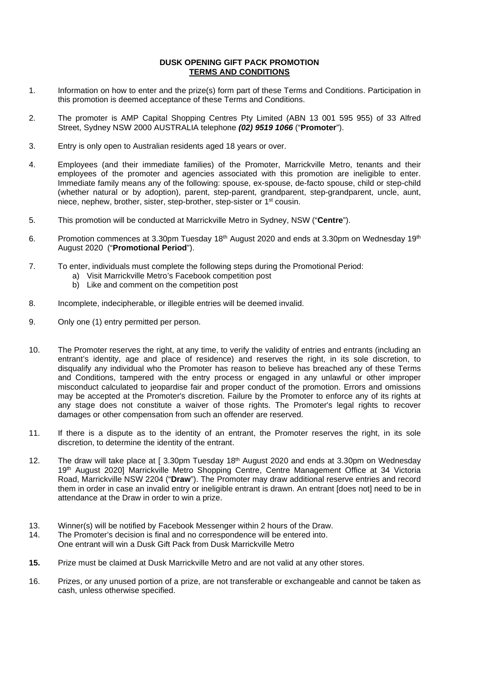## **DUSK OPENING GIFT PACK PROMOTION TERMS AND CONDITIONS**

- 1. Information on how to enter and the prize(s) form part of these Terms and Conditions. Participation in this promotion is deemed acceptance of these Terms and Conditions.
- 2. The promoter is AMP Capital Shopping Centres Pty Limited (ABN 13 001 595 955) of 33 Alfred Street, Sydney NSW 2000 AUSTRALIA telephone *(02) 9519 1066* ("**Promoter**").
- 3. Entry is only open to Australian residents aged 18 years or over.
- 4. Employees (and their immediate families) of the Promoter, Marrickville Metro, tenants and their employees of the promoter and agencies associated with this promotion are ineligible to enter. Immediate family means any of the following: spouse, ex-spouse, de-facto spouse, child or step-child (whether natural or by adoption), parent, step-parent, grandparent, step-grandparent, uncle, aunt, niece, nephew, brother, sister, step-brother, step-sister or 1st cousin.
- 5. This promotion will be conducted at Marrickville Metro in Sydney, NSW ("**Centre**").
- 6. Promotion commences at 3.30pm Tuesday 18<sup>th</sup> August 2020 and ends at 3.30pm on Wednesday 19<sup>th</sup> August 2020 ("**Promotional Period**").
- 7. To enter, individuals must complete the following steps during the Promotional Period:
	- a) Visit Marrickville Metro's Facebook competition post
	- b) Like and comment on the competition post
- 8. Incomplete, indecipherable, or illegible entries will be deemed invalid.
- 9. Only one (1) entry permitted per person.
- 10. The Promoter reserves the right, at any time, to verify the validity of entries and entrants (including an entrant's identity, age and place of residence) and reserves the right, in its sole discretion, to disqualify any individual who the Promoter has reason to believe has breached any of these Terms and Conditions, tampered with the entry process or engaged in any unlawful or other improper misconduct calculated to jeopardise fair and proper conduct of the promotion. Errors and omissions may be accepted at the Promoter's discretion. Failure by the Promoter to enforce any of its rights at any stage does not constitute a waiver of those rights. The Promoter's legal rights to recover damages or other compensation from such an offender are reserved.
- 11. If there is a dispute as to the identity of an entrant, the Promoter reserves the right, in its sole discretion, to determine the identity of the entrant.
- 12. The draw will take place at [ 3.30pm Tuesday 18<sup>th</sup> August 2020 and ends at 3.30pm on Wednesday 19<sup>th</sup> August 2020] Marrickville Metro Shopping Centre, Centre Management Office at 34 Victoria Road, Marrickville NSW 2204 ("**Draw**"). The Promoter may draw additional reserve entries and record them in order in case an invalid entry or ineligible entrant is drawn. An entrant [does not] need to be in attendance at the Draw in order to win a prize.
- 13. Winner(s) will be notified by Facebook Messenger within 2 hours of the Draw.
- 14. The Promoter's decision is final and no correspondence will be entered into. One entrant will win a Dusk Gift Pack from Dusk Marrickville Metro
- **15.** Prize must be claimed at Dusk Marrickville Metro and are not valid at any other stores.
- 16. Prizes, or any unused portion of a prize, are not transferable or exchangeable and cannot be taken as cash, unless otherwise specified.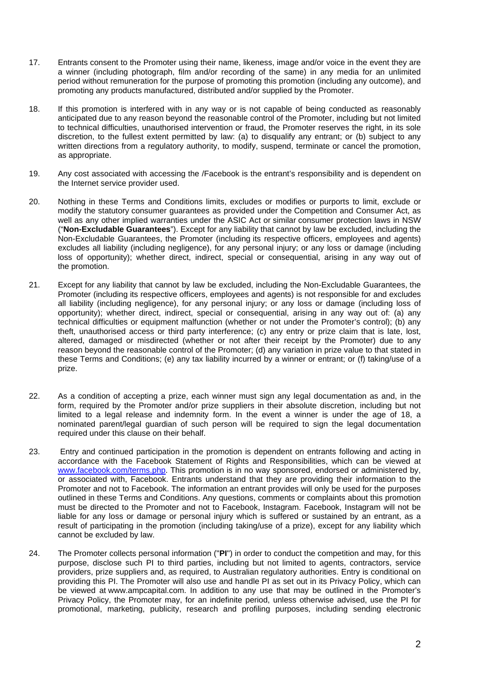- 17. Entrants consent to the Promoter using their name, likeness, image and/or voice in the event they are a winner (including photograph, film and/or recording of the same) in any media for an unlimited period without remuneration for the purpose of promoting this promotion (including any outcome), and promoting any products manufactured, distributed and/or supplied by the Promoter.
- 18. If this promotion is interfered with in any way or is not capable of being conducted as reasonably anticipated due to any reason beyond the reasonable control of the Promoter, including but not limited to technical difficulties, unauthorised intervention or fraud, the Promoter reserves the right, in its sole discretion, to the fullest extent permitted by law: (a) to disqualify any entrant; or (b) subject to any written directions from a regulatory authority, to modify, suspend, terminate or cancel the promotion, as appropriate.
- 19. Any cost associated with accessing the /Facebook is the entrant's responsibility and is dependent on the Internet service provider used.
- 20. Nothing in these Terms and Conditions limits, excludes or modifies or purports to limit, exclude or modify the statutory consumer guarantees as provided under the Competition and Consumer Act, as well as any other implied warranties under the ASIC Act or similar consumer protection laws in NSW ("**Non-Excludable Guarantees**"). Except for any liability that cannot by law be excluded, including the Non-Excludable Guarantees, the Promoter (including its respective officers, employees and agents) excludes all liability (including negligence), for any personal injury; or any loss or damage (including loss of opportunity); whether direct, indirect, special or consequential, arising in any way out of the promotion.
- 21. Except for any liability that cannot by law be excluded, including the Non-Excludable Guarantees, the Promoter (including its respective officers, employees and agents) is not responsible for and excludes all liability (including negligence), for any personal injury; or any loss or damage (including loss of opportunity); whether direct, indirect, special or consequential, arising in any way out of: (a) any technical difficulties or equipment malfunction (whether or not under the Promoter's control); (b) any theft, unauthorised access or third party interference; (c) any entry or prize claim that is late, lost, altered, damaged or misdirected (whether or not after their receipt by the Promoter) due to any reason beyond the reasonable control of the Promoter; (d) any variation in prize value to that stated in these Terms and Conditions; (e) any tax liability incurred by a winner or entrant; or (f) taking/use of a prize.
- 22. As a condition of accepting a prize, each winner must sign any legal documentation as and, in the form, required by the Promoter and/or prize suppliers in their absolute discretion, including but not limited to a legal release and indemnity form. In the event a winner is under the age of 18, a nominated parent/legal guardian of such person will be required to sign the legal documentation required under this clause on their behalf.
- 23. Entry and continued participation in the promotion is dependent on entrants following and acting in accordance with the Facebook Statement of Rights and Responsibilities, which can be viewed at [www.facebook.com/terms.php.](http://www.facebook.com/terms.php) This promotion is in no way sponsored, endorsed or administered by, or associated with, Facebook. Entrants understand that they are providing their information to the Promoter and not to Facebook. The information an entrant provides will only be used for the purposes outlined in these Terms and Conditions. Any questions, comments or complaints about this promotion must be directed to the Promoter and not to Facebook, Instagram. Facebook, Instagram will not be liable for any loss or damage or personal injury which is suffered or sustained by an entrant, as a result of participating in the promotion (including taking/use of a prize), except for any liability which cannot be excluded by law.
- 24. The Promoter collects personal information ("**PI**") in order to conduct the competition and may, for this purpose, disclose such PI to third parties, including but not limited to agents, contractors, service providers, prize suppliers and, as required, to Australian regulatory authorities. Entry is conditional on providing this PI. The Promoter will also use and handle PI as set out in its Privacy Policy, which can be viewed at www.ampcapital.com. In addition to any use that may be outlined in the Promoter's Privacy Policy, the Promoter may, for an indefinite period, unless otherwise advised, use the PI for promotional, marketing, publicity, research and profiling purposes, including sending electronic